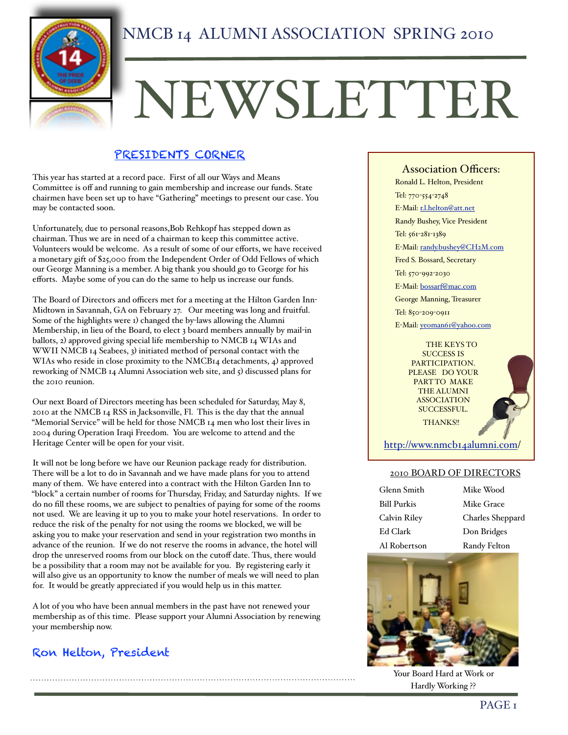

## NMCB 14 ALUMNI ASSOCIATION SPRING 2010

# NEWSLETTER

### PRESIDENTS CORNER

This year has started at a record pace. First of all our Ways and Means Committee is off and running to gain membership and increase our funds. State chairmen have been set up to have "Gathering" meetings to present our case. You may be contacted soon.

Unfortunately, due to personal reasons,Bob Rehkopf has stepped down as chairman. Thus we are in need of a chairman to keep this committee active. Volunteers would be welcome. As a result of some of our efforts, we have received a monetary gift of \$25,000 from the Independent Order of Odd Fellows of which our George Manning is a member. A big thank you should go to George for his efforts. Maybe some of you can do the same to help us increase our funds.

The Board of Directors and officers met for a meeting at the Hilton Garden Inn-Midtown in Savannah, GA on February 27. Our meeting was long and fruitful. Some of the highlights were 1) changed the by-laws allowing the Alumni Membership, in lieu of the Board, to elect 3 board members annually by mail-in ballots, 2) approved giving special life membership to NMCB 14 WIAs and WWII NMCB 14 Seabees, 3) initiated method of personal contact with the WIAs who reside in close proximity to the NMCB14 detachments, 4) approved reworking of NMCB 14 Alumni Association web site, and 5) discussed plans for the 2010 reunion.

Our next Board of Directors meeting has been scheduled for Saturday, May 8, 2010 at the NMCB 14 RSS in Jacksonville, Fl. This is the day that the annual "Memorial Service" will be held for those NMCB 14 men who lost their lives in 2004 during Operation Iraqi Freedom. You are welcome to attend and the Heritage Center will be open for your visit.

It will not be long before we have our Reunion package ready for distribution. There will be a lot to do in Savannah and we have made plans for you to attend many of them. We have entered into a contract with the Hilton Garden Inn to "block" a certain number of rooms for Thursday, Friday, and Saturday nights. If we do no fill these rooms, we are subject to penalties of paying for some of the rooms not used. We are leaving it up to you to make your hotel reservations. In order to reduce the risk of the penalty for not using the rooms we blocked, we will be asking you to make your reservation and send in your registration two months in advance of the reunion. If we do not reserve the rooms in advance, the hotel will drop the unreserved rooms from our block on the cutoff date. Thus, there would be a possibility that a room may not be available for you. By registering early it will also give us an opportunity to know the number of meals we will need to plan for. It would be greatly appreciated if you would help us in this matter.

A lot of you who have been annual members in the past have not renewed your membership as of this time. Please support your Alumni Association by renewing your membership now.

## Ron Helton, President

Association Officers:

Ronald L. Helton, President

Tel: 770-554-2748

E-Mail: [r.l.helton@att.net](mailto:r.l.helton@att.net)

Randy Bushey, Vice President

Tel: 561-281-1389

E-Mail: [randy.bushey@CH2M.com](mailto:rkbushey@aol.com)

Fred S. Bossard, Secretary

Tel: 570-992-2030

E-Mail: [bossarf@mac.com](mailto:bossarf@mac.com)

George Manning, Treasurer

Tel: 850-209-0911

E-Mail: [yeoman61@yahoo.com](mailto:r.l.helton@att.net)

#### THE KEYS TO SUCCESS IS PARTICIPATION. PLEASE DO YOUR PART TO MAKE THE ALUMNI ASSOCIATION SUCCESSFUL. THANKS!!



[http://www.nmcb14alumni.com/](http://www.nmcb14alumni.com)

#### 2010 BOARD OF DIRECTORS

| Glenn Smith  |
|--------------|
| Bill Purkis  |
| Calvin Riley |
| Ed Clark     |
| Al Robertson |

Mike Wood Mike Grace Charles Sheppard Don Bridges Randy Felton



Your Board Hard at Work or Hardly Working ??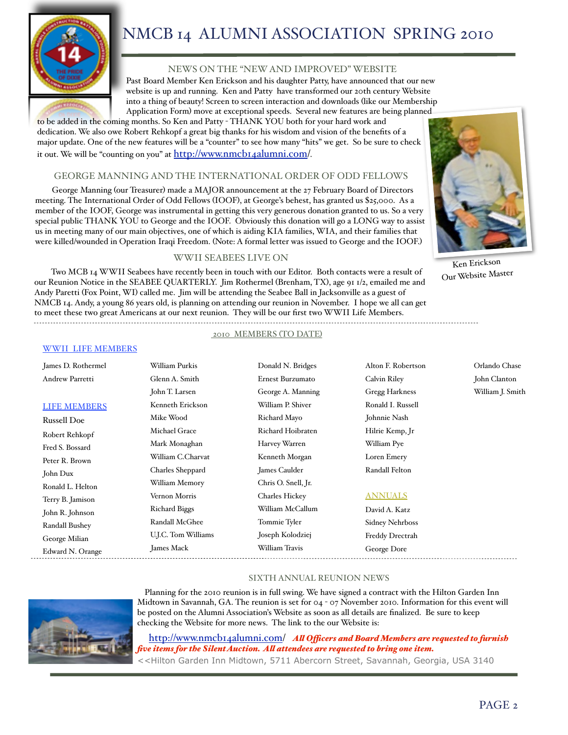

# NMCB 14 ALUMNI ASSOCIATION SPRING 2010

#### NEWS ON THE "NEW AND IMPROVED" WEBSITE

Past Board Member Ken Erickson and his daughter Patty, have announced that our new website is up and running. Ken and Patty have transformed our 20th century Website into a thing of beauty! Screen to screen interaction and downloads (like our Membership Application Form) move at exceptional speeds. Several new features are being planned

to be added in the coming months. So Ken and Patty - THANK YOU both for your hard work and dedication. We also owe Robert Rehkopf a great big thanks for his wisdom and vision of the benefits of a major update. One of the new features will be a "counter" to see how many "hits" we get. So be sure to check it out. We will be "counting on you" at [http://www.nmcb14alumni.com/](http://www.nmcb14alumni.com).

#### GEORGE MANNING AND THE INTERNATIONAL ORDER OF ODD FELLOWS

George Manning (our Treasurer) made a MAJOR announcement at the 27 February Board of Directors meeting. The International Order of Odd Fellows (IOOF), at George's behest, has granted us \$25,000. As a member of the IOOF, George was instrumental in getting this very generous donation granted to us. So a very special public THANK YOU to George and the IOOF. Obviously this donation will go a LONG way to assist us in meeting many of our main objectives, one of which is aiding KIA families, WIA, and their families that were killed/wounded in Operation Iraqi Freedom. (Note: A formal letter was issued to George and the IOOF.)

#### WWII SEABEES LIVE ON

Two MCB 14 WWII Seabees have recently been in touch with our Editor. Both contacts were a result of our Reunion Notice in the SEABEE QUARTERLY. Jim Rothermel (Brenham, TX), age 91 1/2, emailed me and Andy Paretti (Fox Point, WI) called me. Jim will be attending the Seabee Ball in Jacksonville as a guest of NMCB 14. Andy, a young 86 years old, is planning on attending our reunion in November. I hope we all can get to meet these two great Americans at our next reunion. They will be our first two WWII Life Members. 

#### 2010 MEMBERS (TO DATE)

| James D. Rothermel     | William Purkis       | Donald N. Bridges   | Alton F. Robertson     | Orlando Chase    |
|------------------------|----------------------|---------------------|------------------------|------------------|
| <b>Andrew Parretti</b> | Glenn A. Smith       | Ernest Burzumato    | Calvin Riley           | John Clanton     |
|                        | John T. Larsen       | George A. Manning   | Gregg Harkness         | William J. Smith |
| <b>LIFE MEMBERS</b>    | Kenneth Erickson     | William P. Shiver   | Ronald I. Russell      |                  |
| <b>Russell Doe</b>     | Mike Wood            | Richard Mayo        | Johnnie Nash           |                  |
| Robert Rehkopf         | Michael Grace        | Richard Hoibraten   | Hilrie Kemp, Jr        |                  |
| Fred S. Bossard        | Mark Monaghan        | Harvey Warren       | William Pye            |                  |
| Peter R. Brown         | William C.Charvat    | Kenneth Morgan      | Loren Emery            |                  |
| John Dux               | Charles Sheppard     | James Caulder       | Randall Felton         |                  |
| Ronald L. Helton       | William Memory       | Chris O. Snell, Jr. |                        |                  |
| Terry B. Jamison       | Vernon Morris        | Charles Hickey      | <b>ANNUALS</b>         |                  |
| John R. Johnson        | <b>Richard Biggs</b> | William McCallum    | David A. Katz          |                  |
| Randall Bushey         | Randall McGhee       | Tommie Tyler        | <b>Sidney Nehrboss</b> |                  |
| George Milian          | U.J.C. Tom Williams  | Joseph Kolodziej    | Freddy Drectrah        |                  |
| Edward N. Orange       | James Mack           | William Travis      | George Dore            |                  |



Planning for the 2010 reunion is in full swing. We have signed a contract with the Hilton Garden Inn Midtown in Savannah, GA. The reunion is set for 04 - 07 November 2010. Information for this event will be posted on the Alumni Association's Website as soon as all details are finalized. Be sure to keep checking the Website for more news. The link to the our Website is:

 [http://www.nmcb14alumni.com/](http://www.nmcb14alumni.com) *A! O"cers and Board Members are requested to furnish five items for the Silent Auction. A! attendees are requested to bring one item.* <<Hilton Garden Inn Midtown, 5711 Abercorn Street, Savannah, Georgia, USA 3140



Ken Erickson Our Website Master